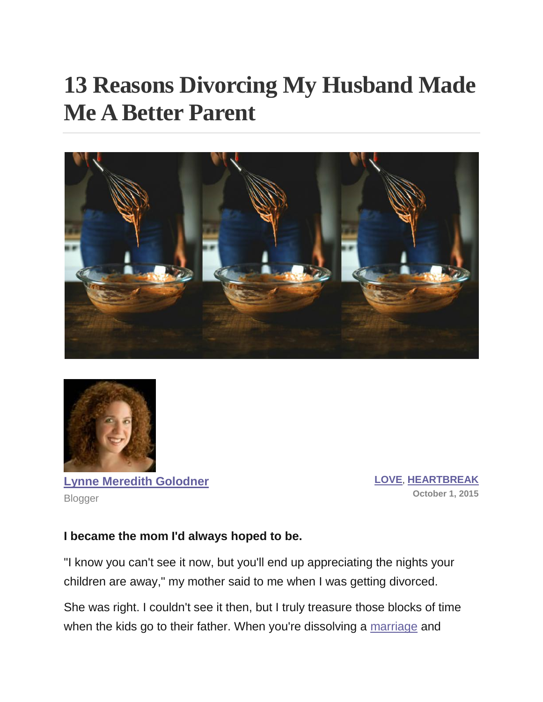# **13 Reasons Divorcing My Husband Made Me A Better Parent**





**[Lynne Meredith Golodner](http://www.yourtango.com/users/lynne-meredith-golodner)** Blogger

**[LOVE](http://www.yourtango.com/love)**, **[HEARTBREAK](http://www.yourtango.com/heartbreak) October 1, 2015**

#### **I became the mom I'd always hoped to be.**

"I know you can't see it now, but you'll end up appreciating the nights your children are away," my mother said to me when I was getting divorced.

She was right. I couldn't see it then, but I truly treasure those blocks of time when the kids go to their father. When you're dissolving a [marriage](http://www.yourtango.com/marriage) and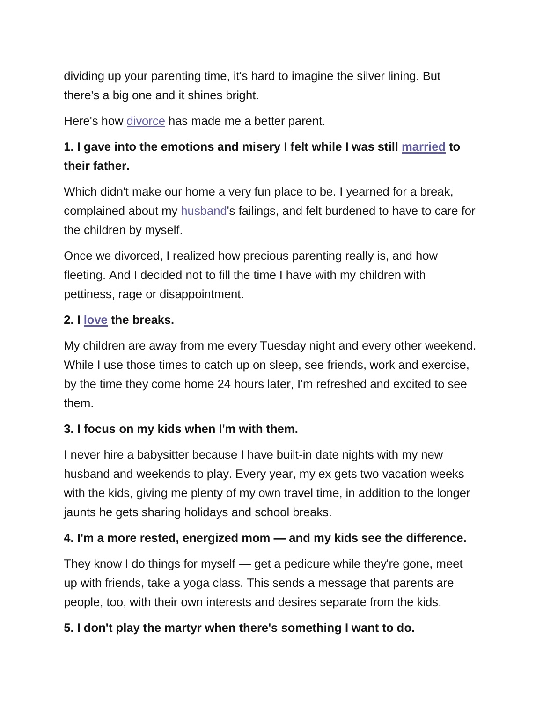dividing up your parenting time, it's hard to imagine the silver lining. But there's a big one and it shines bright.

Here's how [divorce](http://www.yourtango.com/breakups-and-divorce) has made me a better parent.

# **1. I gave into the emotions and misery I felt while I was still [married](http://www.yourtango.com/married-lovestage) to their father.**

Which didn't make our home a very fun place to be. I yearned for a break, complained about my [husband'](http://www.yourtango.com/2013197121/marriage-i-put-my-husband-my-child)s failings, and felt burdened to have to care for the children by myself.

Once we divorced, I realized how precious parenting really is, and how fleeting. And I decided not to fill the time I have with my children with pettiness, rage or disappointment.

#### **2. I [love](http://www.yourtango.com/love) the breaks.**

My children are away from me every Tuesday night and every other weekend. While I use those times to catch up on sleep, see friends, work and exercise, by the time they come home 24 hours later, I'm refreshed and excited to see them.

#### **3. I focus on my kids when I'm with them.**

I never hire a babysitter because I have built-in date nights with my new husband and weekends to play. Every year, my ex gets two vacation weeks with the kids, giving me plenty of my own travel time, in addition to the longer jaunts he gets sharing holidays and school breaks.

#### **4. I'm a more rested, energized mom — and my kids see the difference.**

They know I do things for myself — get a pedicure while they're gone, meet up with friends, take a yoga class. This sends a message that parents are people, too, with their own interests and desires separate from the kids.

#### **5. I don't play the martyr when there's something I want to do.**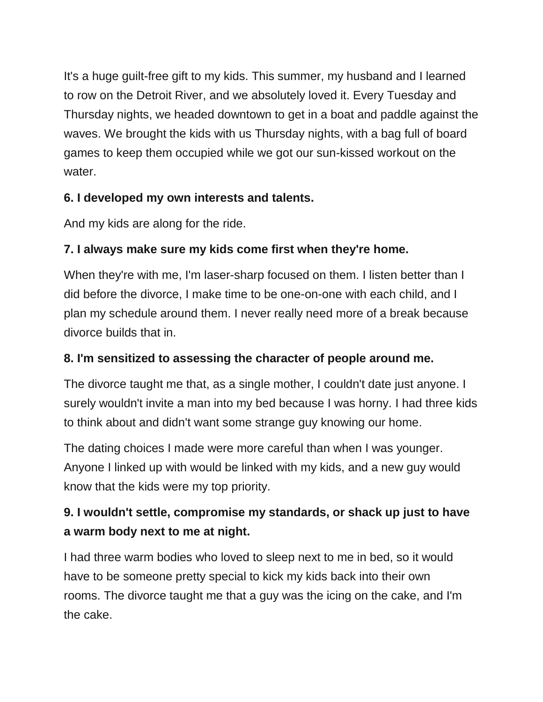It's a huge guilt-free gift to my kids. This summer, my husband and I learned to row on the Detroit River, and we absolutely loved it. Every Tuesday and Thursday nights, we headed downtown to get in a boat and paddle against the waves. We brought the kids with us Thursday nights, with a bag full of board games to keep them occupied while we got our sun-kissed workout on the water.

#### **6. I developed my own interests and talents.**

And my kids are along for the ride.

## **7. I always make sure my kids come first when they're home.**

When they're with me, I'm laser-sharp focused on them. I listen better than I did before the divorce, I make time to be one-on-one with each child, and I plan my schedule around them. I never really need more of a break because divorce builds that in.

### **8. I'm sensitized to assessing the character of people around me.**

The divorce taught me that, as a single mother, I couldn't date just anyone. I surely wouldn't invite a man into my bed because I was horny. I had three kids to think about and didn't want some strange guy knowing our home.

The dating choices I made were more careful than when I was younger. Anyone I linked up with would be linked with my kids, and a new guy would know that the kids were my top priority.

# **9. I wouldn't settle, compromise my standards, or shack up just to have a warm body next to me at night.**

I had three warm bodies who loved to sleep next to me in bed, so it would have to be someone pretty special to kick my kids back into their own rooms. The divorce taught me that a guy was the icing on the cake, and I'm the cake.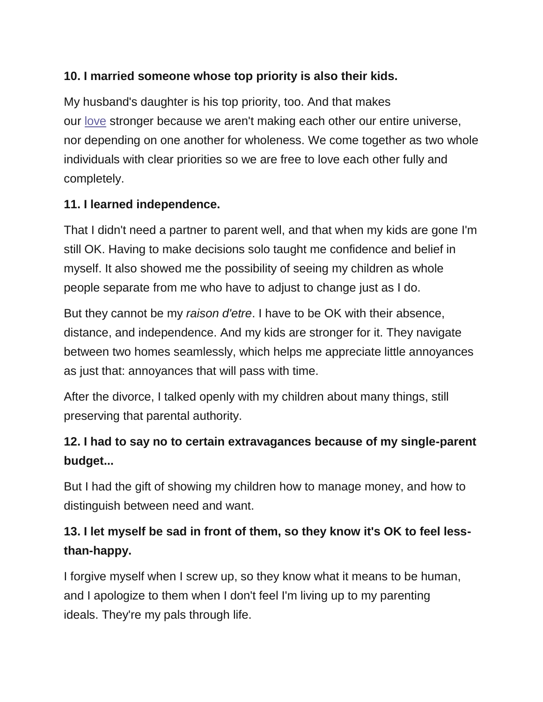#### **10. I married someone whose top priority is also their kids.**

My husband's daughter is his top priority, too. And that makes our [love](http://www.yourtango.com/love) stronger because we aren't making each other our entire universe, nor depending on one another for wholeness. We come together as two whole individuals with clear priorities so we are free to love each other fully and completely.

#### **11. I learned independence.**

That I didn't need a partner to parent well, and that when my kids are gone I'm still OK. Having to make decisions solo taught me confidence and belief in myself. It also showed me the possibility of seeing my children as whole people separate from me who have to adjust to change just as I do.

But they cannot be my *raison d'etre*. I have to be OK with their absence, distance, and independence. And my kids are stronger for it. They navigate between two homes seamlessly, which helps me appreciate little annoyances as just that: annoyances that will pass with time.

After the divorce, I talked openly with my children about many things, still preserving that parental authority.

## **12. I had to say no to certain extravagances because of my single-parent budget...**

But I had the gift of showing my children how to manage money, and how to distinguish between need and want.

## **13. I let myself be sad in front of them, so they know it's OK to feel lessthan-happy.**

I forgive myself when I screw up, so they know what it means to be human, and I apologize to them when I don't feel I'm living up to my parenting ideals. They're my pals through life.